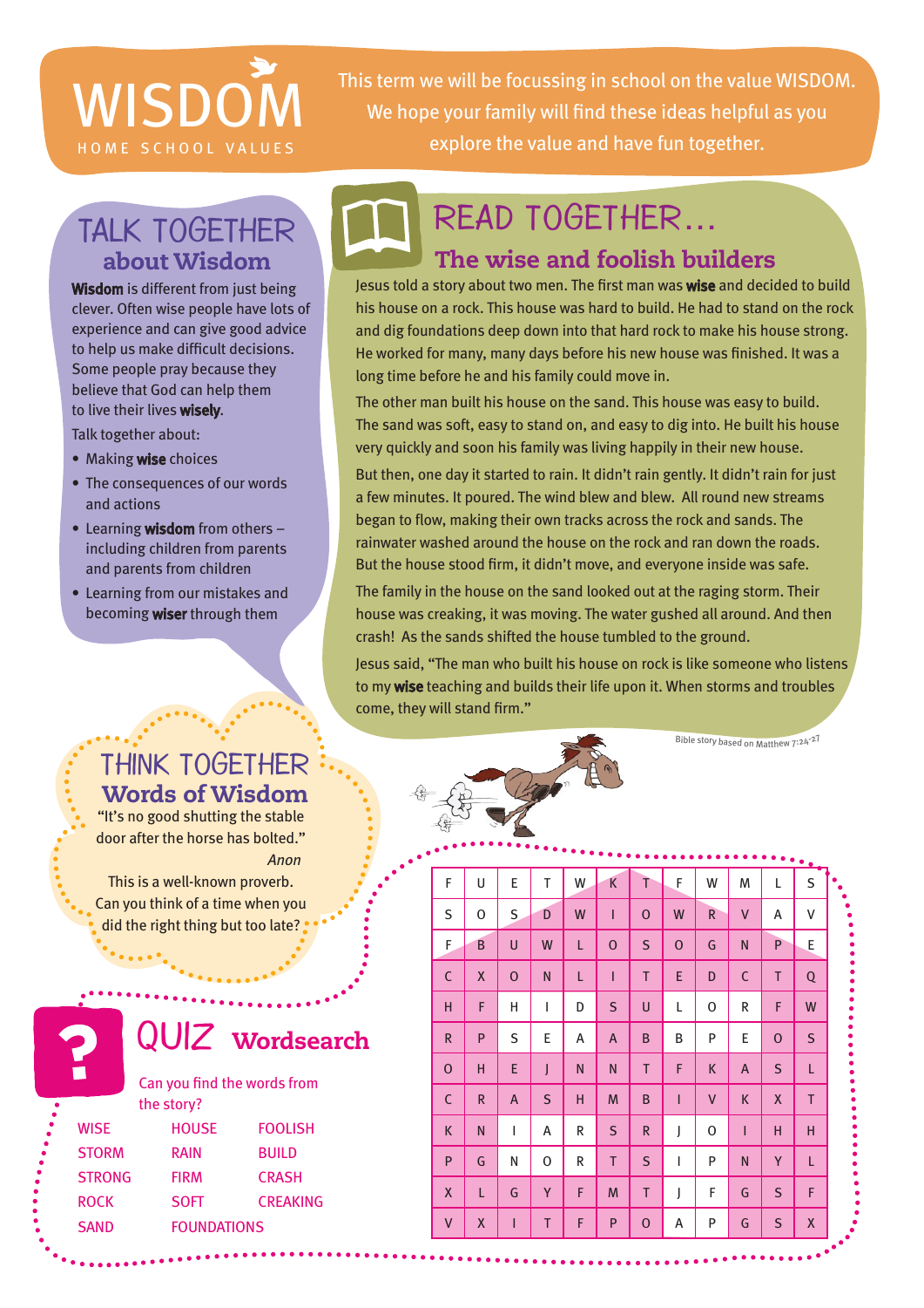# **WISDON**

This term we will be focussing in school on the value WISDOM. We hope your family will find these ideas helpful as you HOME SCHOOL VALUES explore the value and have fun together.

# Talk together about Wisdom

Wisdom is different from just being clever. Often wise people have lots of experience and can give good advice to help us make difficult decisions. Some people pray because they believe that God can help them to live their lives wisely.

Talk together about:

- Making wise choices
- The consequences of our words and actions
- Learning wisdom from others including children from parents and parents from children
- • Learning from our mistakes and becoming **wiser** through them

## Think together Words of Wisdom

"It's no good shutting the stable door after the horse has bolted."  *Anon*

This is a well-known proverb. Can you think of a time when you did the right thing but too late?

Can you find the words from

QUIZ wordsearch

the story?

 $\bullet$   $\bullet$   $\bullet$   $\bullet$ 

SAND FOUNDATIONS

WISE HOUSE FOOLISH STORM RAIN BUILD STRONG FIRM CRASH ROCK SOFT CREAKING

# The wise and foolish builders Read together…

Jesus told a story about two men. The first man was wise and decided to build his house on a rock. This house was hard to build. He had to stand on the rock and dig foundations deep down into that hard rock to make his house strong. He worked for many, many days before his new house was finished. It was a long time before he and his family could move in.

The other man built his house on the sand. This house was easy to build. The sand was soft, easy to stand on, and easy to dig into. He built his house very quickly and soon his family was living happily in their new house.

But then, one day it started to rain. It didn't rain gently. It didn't rain for just a few minutes. It poured. The wind blew and blew. All round new streams began to flow, making their own tracks across the rock and sands. The rainwater washed around the house on the rock and ran down the roads. But the house stood firm, it didn't move, and everyone inside was safe.

The family in the house on the sand looked out at the raging storm. Their house was creaking, it was moving. The water gushed all around. And then crash! As the sands shifted the house tumbled to the ground.

Jesus said, "The man who built his house on rock is like someone who listens to my wise teaching and builds their life upon it. When storms and troubles come, they will stand firm."

Bible story based on Matthew 7:24-27

# F | U | E | T | W | K | T | F | W | M | L | S S O S D W I O W R V A V F B U W L O S O G N P E C | X | O | N | L | I | T | E | D | C | T | Q H | F | H | I | D | S | U | L | O | R | F | W R | P | S | E | A | A | B | B | P | E | O | S O | H | E | J | N | N | T | F | K | A | S | L C R | A | S | H | M | B | I | V | K | X | T K | N | I | A | R | S | R | J | O | I | H | H P | G | N | O | R | T | S | I | P | N | Y | L X | L | G | Y | F | M | T | J | F | G | S | F V | X | I | T | F | P | O | A | P | G | S | X